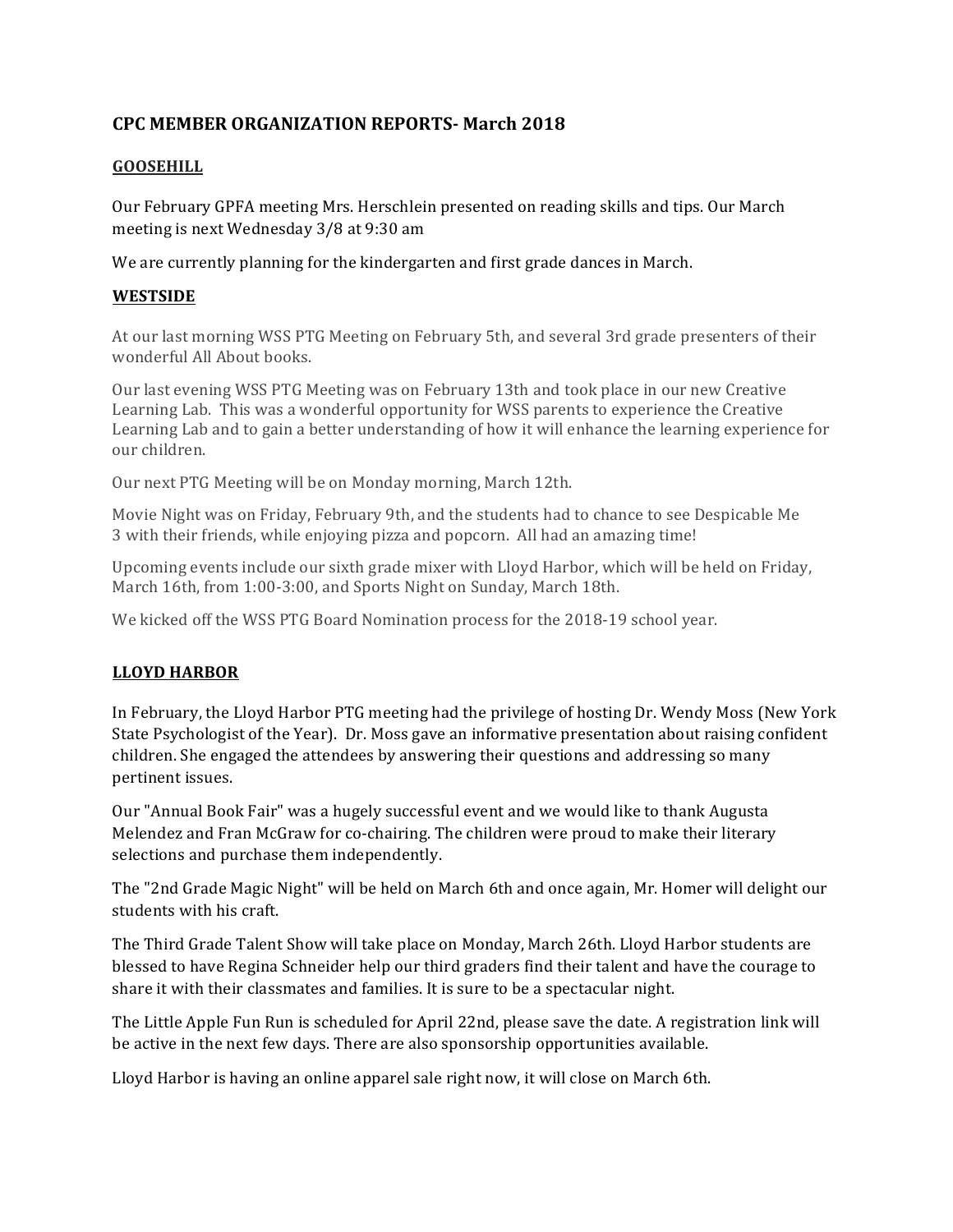# **CPC MEMBER ORGANIZATION REPORTS- March 2018**

## **GOOSEHILL**

Our February GPFA meeting Mrs. Herschlein presented on reading skills and tips. Our March meeting is next Wednesday 3/8 at 9:30 am

We are currently planning for the kindergarten and first grade dances in March.

## **WESTSIDE**

At our last morning WSS PTG Meeting on February 5th, and several 3rd grade presenters of their wonderful All About books.

Our last evening WSS PTG Meeting was on February 13th and took place in our new Creative Learning Lab. This was a wonderful opportunity for WSS parents to experience the Creative Learning Lab and to gain a better understanding of how it will enhance the learning experience for our children. 

Our next PTG Meeting will be on Monday morning, March 12th.

Movie Night was on Friday, February 9th, and the students had to chance to see Despicable Me 3 with their friends, while enjoying pizza and popcorn. All had an amazing time!

Upcoming events include our sixth grade mixer with Lloyd Harbor, which will be held on Friday. March 16th, from 1:00-3:00, and Sports Night on Sunday, March 18th.

We kicked off the WSS PTG Board Nomination process for the 2018-19 school year.

# **LLOYD HARBOR**

In February, the Lloyd Harbor PTG meeting had the privilege of hosting Dr. Wendy Moss (New York State Psychologist of the Year). Dr. Moss gave an informative presentation about raising confident children. She engaged the attendees by answering their questions and addressing so many pertinent issues.

Our "Annual Book Fair" was a hugely successful event and we would like to thank Augusta Melendez and Fran McGraw for co-chairing. The children were proud to make their literary selections and purchase them independently.

The "2nd Grade Magic Night" will be held on March 6th and once again, Mr. Homer will delight our students with his craft.

The Third Grade Talent Show will take place on Monday, March 26th. Lloyd Harbor students are blessed to have Regina Schneider help our third graders find their talent and have the courage to share it with their classmates and families. It is sure to be a spectacular night.

The Little Apple Fun Run is scheduled for April 22nd, please save the date. A registration link will be active in the next few days. There are also sponsorship opportunities available.

Lloyd Harbor is having an online apparel sale right now, it will close on March 6th.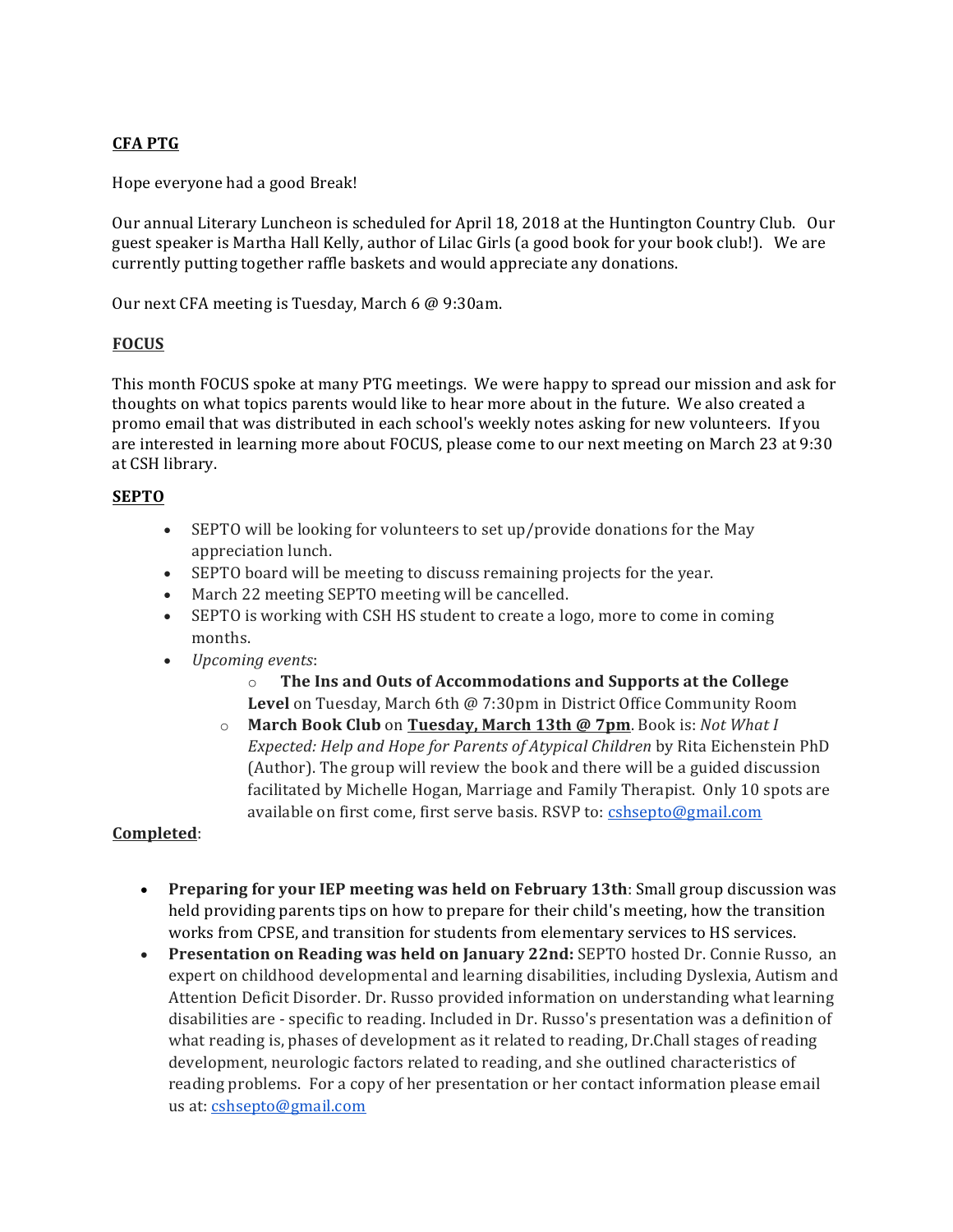# **CFA PTG**

Hope everyone had a good Break!

Our annual Literary Luncheon is scheduled for April 18, 2018 at the Huntington Country Club. Our guest speaker is Martha Hall Kelly, author of Lilac Girls (a good book for your book club!). We are currently putting together raffle baskets and would appreciate any donations. 

Our next CFA meeting is Tuesday, March 6 @ 9:30am. 

#### **FOCUS**

This month FOCUS spoke at many PTG meetings. We were happy to spread our mission and ask for thoughts on what topics parents would like to hear more about in the future. We also created a promo email that was distributed in each school's weekly notes asking for new volunteers. If you are interested in learning more about FOCUS, please come to our next meeting on March 23 at 9:30 at CSH library.

#### **SEPTO**

- SEPTO will be looking for volunteers to set up/provide donations for the May appreciation lunch.
- SEPTO board will be meeting to discuss remaining projects for the year.
- March 22 meeting SEPTO meeting will be cancelled.
- SEPTO is working with CSH HS student to create a logo, more to come in coming months.
- *Upcoming events*:
	- $\circ$  **The Ins and Outs of Accommodations and Supports at the College Level** on Tuesday, March 6th @ 7:30pm in District Office Community Room
	- o **March Book Club** on **Tuesday, March 13th @ 7pm**. Book is: *Not What I Expected: Help and Hope for Parents of Atypical Children* by Rita Eichenstein PhD (Author). The group will review the book and there will be a guided discussion facilitated by Michelle Hogan, Marriage and Family Therapist. Only 10 spots are available on first come, first serve basis. RSVP to: cshsepto@gmail.com

#### **Completed**:

- Preparing for your IEP meeting was held on February 13th: Small group discussion was held providing parents tips on how to prepare for their child's meeting, how the transition works from CPSE, and transition for students from elementary services to HS services.
- Presentation on Reading was held on January 22nd: SEPTO hosted Dr. Connie Russo, an expert on childhood developmental and learning disabilities, including Dyslexia, Autism and Attention Deficit Disorder. Dr. Russo provided information on understanding what learning disabilities are - specific to reading. Included in Dr. Russo's presentation was a definition of what reading is, phases of development as it related to reading, Dr.Chall stages of reading development, neurologic factors related to reading, and she outlined characteristics of reading problems. For a copy of her presentation or her contact information please email us at: cshsepto@gmail.com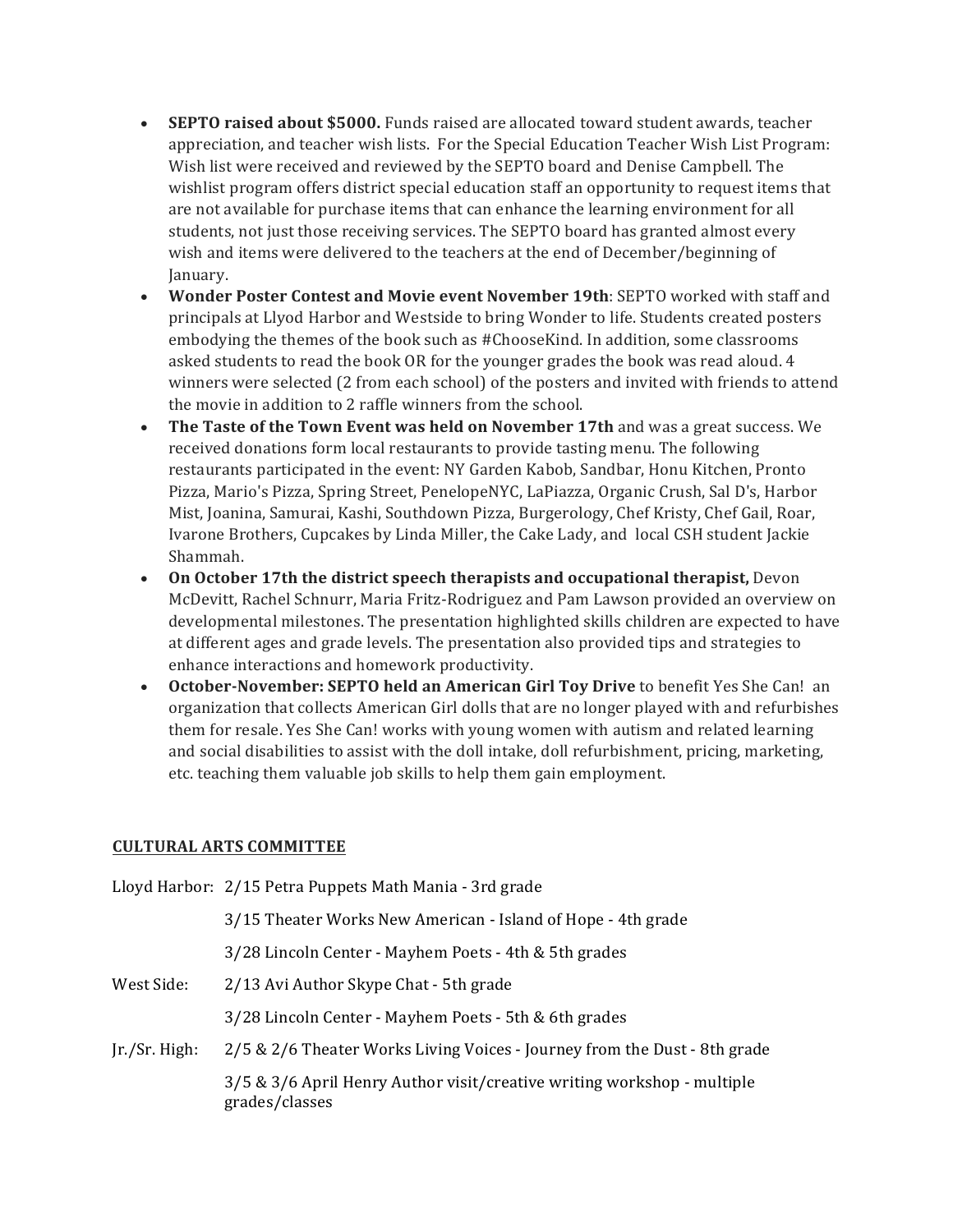- **SEPTO raised about \$5000.** Funds raised are allocated toward student awards, teacher appreciation, and teacher wish lists. For the Special Education Teacher Wish List Program: Wish list were received and reviewed by the SEPTO board and Denise Campbell. The wishlist program offers district special education staff an opportunity to request items that are not available for purchase items that can enhance the learning environment for all students, not just those receiving services. The SEPTO board has granted almost every wish and items were delivered to the teachers at the end of December/beginning of January.
- **Wonder Poster Contest and Movie event November 19th**: SEPTO worked with staff and principals at Llyod Harbor and Westside to bring Wonder to life. Students created posters embodying the themes of the book such as #ChooseKind. In addition, some classrooms asked students to read the book OR for the younger grades the book was read aloud. 4 winners were selected (2 from each school) of the posters and invited with friends to attend the movie in addition to 2 raffle winners from the school.
- The Taste of the Town Event was held on November 17th and was a great success. We received donations form local restaurants to provide tasting menu. The following restaurants participated in the event: NY Garden Kabob, Sandbar, Honu Kitchen, Pronto Pizza, Mario's Pizza, Spring Street, PenelopeNYC, LaPiazza, Organic Crush, Sal D's, Harbor Mist, Joanina, Samurai, Kashi, Southdown Pizza, Burgerology, Chef Kristy, Chef Gail, Roar, Ivarone Brothers, Cupcakes by Linda Miller, the Cake Lady, and local CSH student Jackie Shammah.
- **On October 17th the district speech therapists and occupational therapist, Devon** McDevitt, Rachel Schnurr, Maria Fritz-Rodriguez and Pam Lawson provided an overview on developmental milestones. The presentation highlighted skills children are expected to have at different ages and grade levels. The presentation also provided tips and strategies to enhance interactions and homework productivity.
- October-November: SEPTO held an American Girl Toy Drive to benefit Yes She Can! an organization that collects American Girl dolls that are no longer played with and refurbishes them for resale. Yes She Can! works with young women with autism and related learning and social disabilities to assist with the doll intake, doll refurbishment, pricing, marketing, etc. teaching them valuable job skills to help them gain employment.

## **CULTURAL ARTS COMMITTEE**

|               | Lloyd Harbor: 2/15 Petra Puppets Math Mania - 3rd grade                                   |
|---------------|-------------------------------------------------------------------------------------------|
|               | 3/15 Theater Works New American - Island of Hope - 4th grade                              |
|               | 3/28 Lincoln Center - Mayhem Poets - 4th & 5th grades                                     |
| West Side:    | 2/13 Avi Author Skype Chat - 5th grade                                                    |
|               | 3/28 Lincoln Center - Mayhem Poets - 5th & 6th grades                                     |
| Ir./Sr. High: | 2/5 & 2/6 Theater Works Living Voices - Journey from the Dust - 8th grade                 |
|               | 3/5 & 3/6 April Henry Author visit/creative writing workshop - multiple<br>grades/classes |